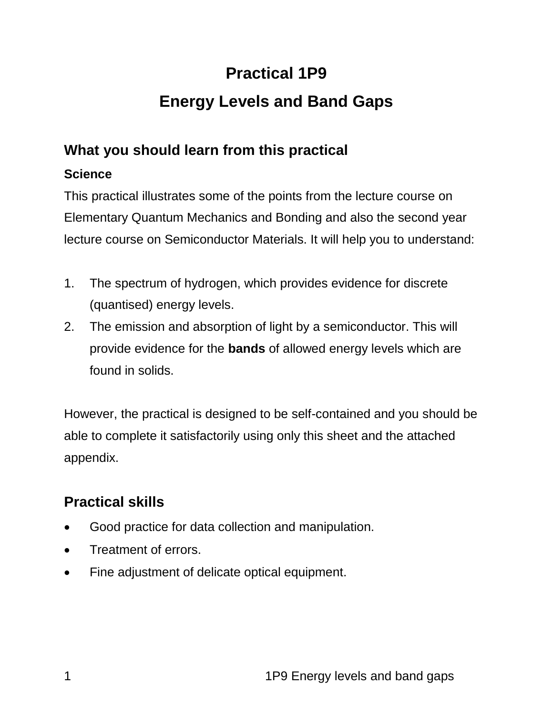# **Practical 1P9 Energy Levels and Band Gaps**

# **What you should learn from this practical**

#### **Science**

This practical illustrates some of the points from the lecture course on Elementary Quantum Mechanics and Bonding and also the second year lecture course on Semiconductor Materials. It will help you to understand:

- 1. The spectrum of hydrogen, which provides evidence for discrete (quantised) energy levels.
- 2. The emission and absorption of light by a semiconductor. This will provide evidence for the **bands** of allowed energy levels which are found in solids.

However, the practical is designed to be self-contained and you should be able to complete it satisfactorily using only this sheet and the attached appendix.

# **Practical skills**

- Good practice for data collection and manipulation.
- Treatment of errors.
- Fine adjustment of delicate optical equipment.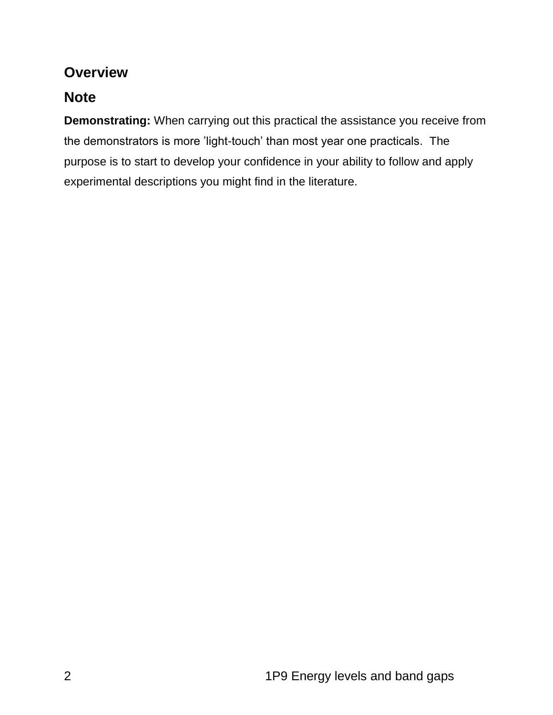## **Overview**

## **Note**

**Demonstrating:** When carrying out this practical the assistance you receive from the demonstrators is more 'light-touch' than most year one practicals. The purpose is to start to develop your confidence in your ability to follow and apply experimental descriptions you might find in the literature.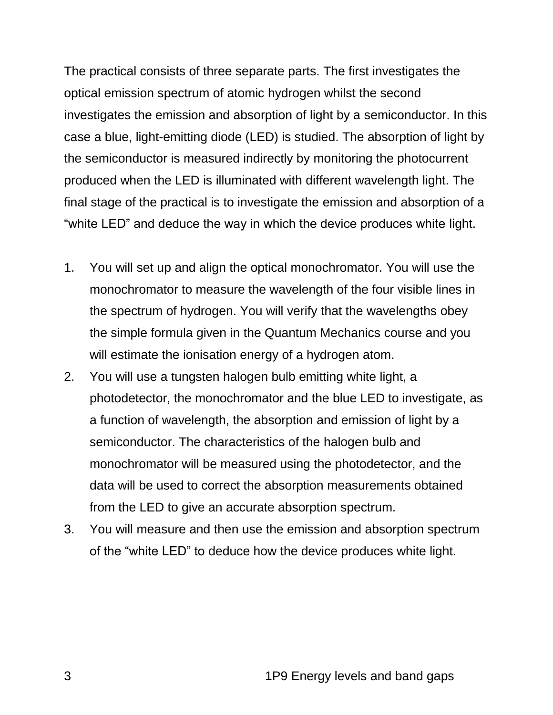The practical consists of three separate parts. The first investigates the optical emission spectrum of atomic hydrogen whilst the second investigates the emission and absorption of light by a semiconductor. In this case a blue, light-emitting diode (LED) is studied. The absorption of light by the semiconductor is measured indirectly by monitoring the photocurrent produced when the LED is illuminated with different wavelength light. The final stage of the practical is to investigate the emission and absorption of a "white LED" and deduce the way in which the device produces white light.

- 1. You will set up and align the optical monochromator. You will use the monochromator to measure the wavelength of the four visible lines in the spectrum of hydrogen. You will verify that the wavelengths obey the simple formula given in the Quantum Mechanics course and you will estimate the ionisation energy of a hydrogen atom.
- 2. You will use a tungsten halogen bulb emitting white light, a photodetector, the monochromator and the blue LED to investigate, as a function of wavelength, the absorption and emission of light by a semiconductor. The characteristics of the halogen bulb and monochromator will be measured using the photodetector, and the data will be used to correct the absorption measurements obtained from the LED to give an accurate absorption spectrum.
- 3. You will measure and then use the emission and absorption spectrum of the "white LED" to deduce how the device produces white light.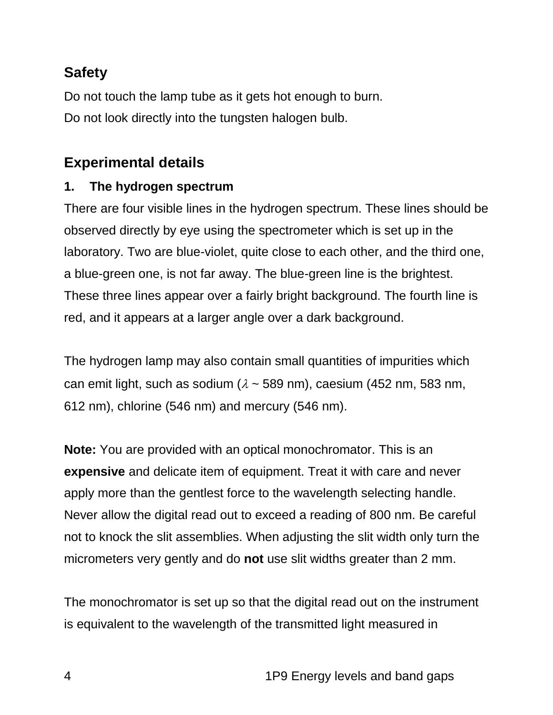## **Safety**

Do not touch the lamp tube as it gets hot enough to burn. Do not look directly into the tungsten halogen bulb.

## **Experimental details**

#### **1. The hydrogen spectrum**

There are four visible lines in the hydrogen spectrum. These lines should be observed directly by eye using the spectrometer which is set up in the laboratory. Two are blue-violet, quite close to each other, and the third one, a blue-green one, is not far away. The blue-green line is the brightest. These three lines appear over a fairly bright background. The fourth line is red, and it appears at a larger angle over a dark background.

The hydrogen lamp may also contain small quantities of impurities which can emit light, such as sodium ( $\lambda \sim 589$  nm), caesium (452 nm, 583 nm, 612 nm), chlorine (546 nm) and mercury (546 nm).

**Note:** You are provided with an optical monochromator. This is an **expensive** and delicate item of equipment. Treat it with care and never apply more than the gentlest force to the wavelength selecting handle. Never allow the digital read out to exceed a reading of 800 nm. Be careful not to knock the slit assemblies. When adjusting the slit width only turn the micrometers very gently and do **not** use slit widths greater than 2 mm.

The monochromator is set up so that the digital read out on the instrument is equivalent to the wavelength of the transmitted light measured in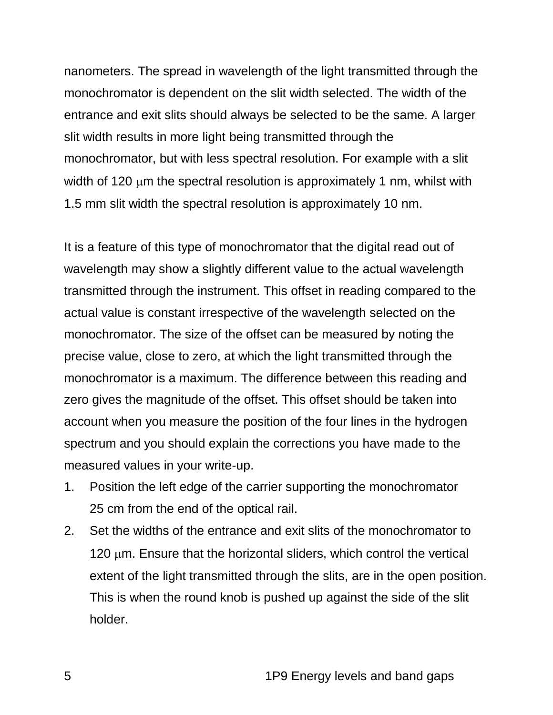nanometers. The spread in wavelength of the light transmitted through the monochromator is dependent on the slit width selected. The width of the entrance and exit slits should always be selected to be the same. A larger slit width results in more light being transmitted through the monochromator, but with less spectral resolution. For example with a slit width of 120  $\mu$ m the spectral resolution is approximately 1 nm, whilst with 1.5 mm slit width the spectral resolution is approximately 10 nm.

It is a feature of this type of monochromator that the digital read out of wavelength may show a slightly different value to the actual wavelength transmitted through the instrument. This offset in reading compared to the actual value is constant irrespective of the wavelength selected on the monochromator. The size of the offset can be measured by noting the precise value, close to zero, at which the light transmitted through the monochromator is a maximum. The difference between this reading and zero gives the magnitude of the offset. This offset should be taken into account when you measure the position of the four lines in the hydrogen spectrum and you should explain the corrections you have made to the measured values in your write-up.

- 1. Position the left edge of the carrier supporting the monochromator 25 cm from the end of the optical rail.
- 2. Set the widths of the entrance and exit slits of the monochromator to 120  $\mu$ m. Ensure that the horizontal sliders, which control the vertical extent of the light transmitted through the slits, are in the open position. This is when the round knob is pushed up against the side of the slit holder.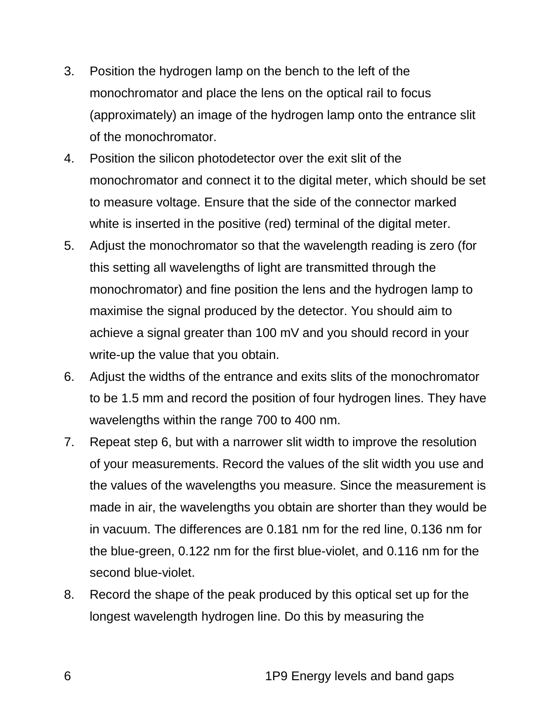- 3. Position the hydrogen lamp on the bench to the left of the monochromator and place the lens on the optical rail to focus (approximately) an image of the hydrogen lamp onto the entrance slit of the monochromator.
- 4. Position the silicon photodetector over the exit slit of the monochromator and connect it to the digital meter, which should be set to measure voltage. Ensure that the side of the connector marked white is inserted in the positive (red) terminal of the digital meter.
- 5. Adjust the monochromator so that the wavelength reading is zero (for this setting all wavelengths of light are transmitted through the monochromator) and fine position the lens and the hydrogen lamp to maximise the signal produced by the detector. You should aim to achieve a signal greater than 100 mV and you should record in your write-up the value that you obtain.
- 6. Adjust the widths of the entrance and exits slits of the monochromator to be 1.5 mm and record the position of four hydrogen lines. They have wavelengths within the range 700 to 400 nm.
- 7. Repeat step 6, but with a narrower slit width to improve the resolution of your measurements. Record the values of the slit width you use and the values of the wavelengths you measure. Since the measurement is made in air, the wavelengths you obtain are shorter than they would be in vacuum. The differences are 0.181 nm for the red line, 0.136 nm for the blue-green, 0.122 nm for the first blue-violet, and 0.116 nm for the second blue-violet.
- 8. Record the shape of the peak produced by this optical set up for the longest wavelength hydrogen line. Do this by measuring the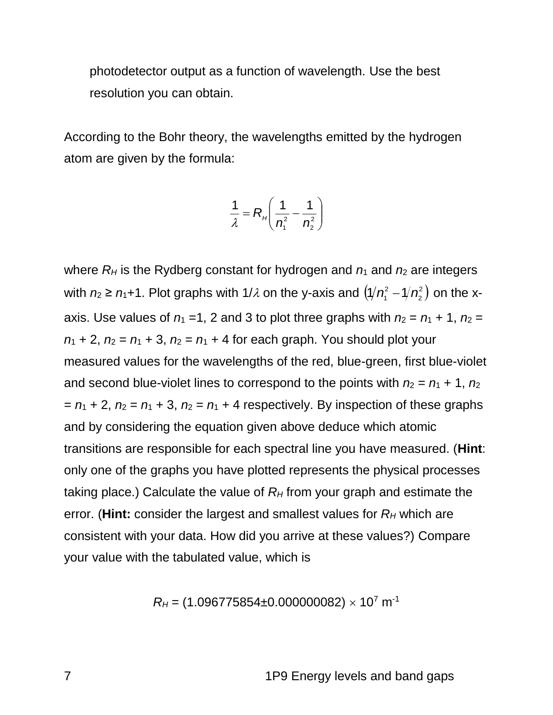photodetector output as a function of wavelength. Use the best resolution you can obtain.

According to the Bohr theory, the wavelengths emitted by the hydrogen atom are given by the formula:

$$
\frac{1}{\lambda} = R_{H}\left(\frac{1}{n_{1}^{2}} - \frac{1}{n_{2}^{2}}\right)
$$

where  $R_H$  is the Rydberg constant for hydrogen and  $n_1$  and  $n_2$  are integers with  $n_2 \ge n_1+1$ . Plot graphs with 1/ $\lambda$  on the y-axis and  $\left({\sqrt[n]{n_1^2-1/n_2^2}}\right)$ 2 1/*n*-2 - 1/*n*-2 ) on the xaxis. Use values of  $n_1 = 1$ , 2 and 3 to plot three graphs with  $n_2 = n_1 + 1$ ,  $n_2 =$  $n_1 + 2$ ,  $n_2 = n_1 + 3$ ,  $n_2 = n_1 + 4$  for each graph. You should plot your measured values for the wavelengths of the red, blue-green, first blue-violet and second blue-violet lines to correspond to the points with  $n_2 = n_1 + 1$ ,  $n_2$  $= n_1 + 2$ ,  $n_2 = n_1 + 3$ ,  $n_2 = n_1 + 4$  respectively. By inspection of these graphs and by considering the equation given above deduce which atomic transitions are responsible for each spectral line you have measured. (**Hint**: only one of the graphs you have plotted represents the physical processes taking place.) Calculate the value of  $R<sub>H</sub>$  from your graph and estimate the error. (**Hint:** consider the largest and smallest values for *R<sup>H</sup>* which are consistent with your data. How did you arrive at these values?) Compare your value with the tabulated value, which is

$$
R_H = (1.096775854 \pm 0.000000082) \times 10^7 \text{ m}^{-1}
$$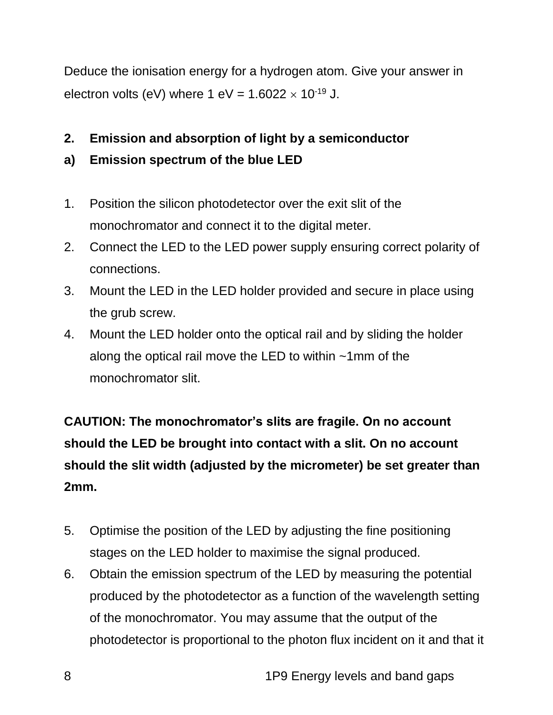Deduce the ionisation energy for a hydrogen atom. Give your answer in electron volts (eV) where  $1 \text{ eV} = 1.6022 \times 10^{-19} \text{ J}.$ 

#### **2. Emission and absorption of light by a semiconductor**

#### **a) Emission spectrum of the blue LED**

- 1. Position the silicon photodetector over the exit slit of the monochromator and connect it to the digital meter.
- 2. Connect the LED to the LED power supply ensuring correct polarity of connections.
- 3. Mount the LED in the LED holder provided and secure in place using the grub screw.
- 4. Mount the LED holder onto the optical rail and by sliding the holder along the optical rail move the LED to within ~1mm of the monochromator slit.

**CAUTION: The monochromator's slits are fragile. On no account should the LED be brought into contact with a slit. On no account should the slit width (adjusted by the micrometer) be set greater than 2mm.**

- 5. Optimise the position of the LED by adjusting the fine positioning stages on the LED holder to maximise the signal produced.
- 6. Obtain the emission spectrum of the LED by measuring the potential produced by the photodetector as a function of the wavelength setting of the monochromator. You may assume that the output of the photodetector is proportional to the photon flux incident on it and that it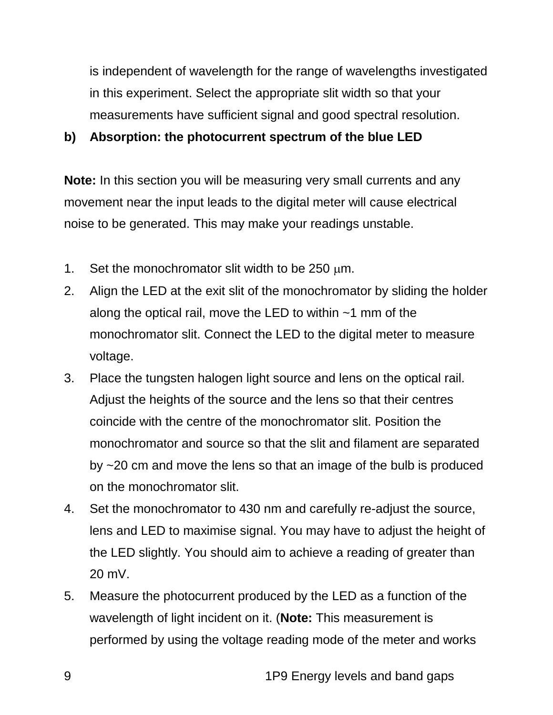is independent of wavelength for the range of wavelengths investigated in this experiment. Select the appropriate slit width so that your measurements have sufficient signal and good spectral resolution.

#### **b) Absorption: the photocurrent spectrum of the blue LED**

**Note:** In this section you will be measuring very small currents and any movement near the input leads to the digital meter will cause electrical noise to be generated. This may make your readings unstable.

- 1. Set the monochromator slit width to be  $250 \mu m$ .
- 2. Align the LED at the exit slit of the monochromator by sliding the holder along the optical rail, move the LED to within ~1 mm of the monochromator slit. Connect the LED to the digital meter to measure voltage.
- 3. Place the tungsten halogen light source and lens on the optical rail. Adjust the heights of the source and the lens so that their centres coincide with the centre of the monochromator slit. Position the monochromator and source so that the slit and filament are separated by ~20 cm and move the lens so that an image of the bulb is produced on the monochromator slit.
- 4. Set the monochromator to 430 nm and carefully re-adjust the source, lens and LED to maximise signal. You may have to adjust the height of the LED slightly. You should aim to achieve a reading of greater than 20 mV.
- 5. Measure the photocurrent produced by the LED as a function of the wavelength of light incident on it. (**Note:** This measurement is performed by using the voltage reading mode of the meter and works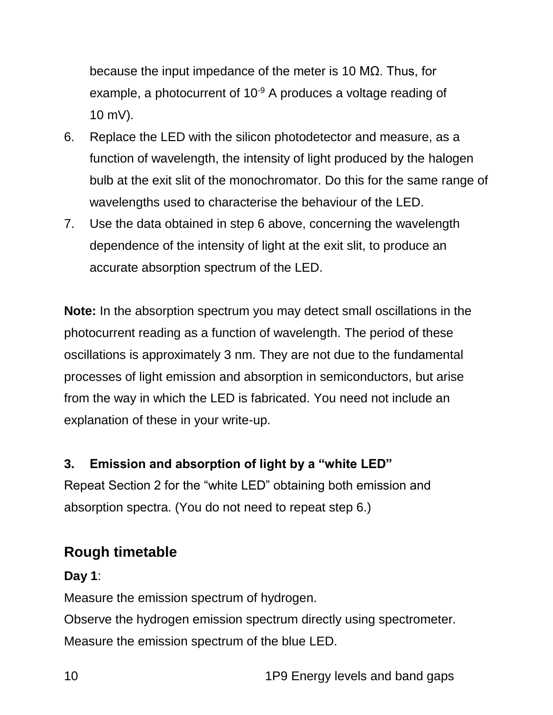because the input impedance of the meter is 10 MΩ. Thus, for example, a photocurrent of 10<sup>-9</sup> A produces a voltage reading of 10 mV).

- 6. Replace the LED with the silicon photodetector and measure, as a function of wavelength, the intensity of light produced by the halogen bulb at the exit slit of the monochromator. Do this for the same range of wavelengths used to characterise the behaviour of the LED.
- 7. Use the data obtained in step 6 above, concerning the wavelength dependence of the intensity of light at the exit slit, to produce an accurate absorption spectrum of the LED.

**Note:** In the absorption spectrum you may detect small oscillations in the photocurrent reading as a function of wavelength. The period of these oscillations is approximately 3 nm. They are not due to the fundamental processes of light emission and absorption in semiconductors, but arise from the way in which the LED is fabricated. You need not include an explanation of these in your write-up.

#### **3. Emission and absorption of light by a "white LED"**

Repeat Section 2 for the "white LED" obtaining both emission and absorption spectra. (You do not need to repeat step 6.)

## **Rough timetable**

**Day 1**:

Measure the emission spectrum of hydrogen.

Observe the hydrogen emission spectrum directly using spectrometer. Measure the emission spectrum of the blue LED.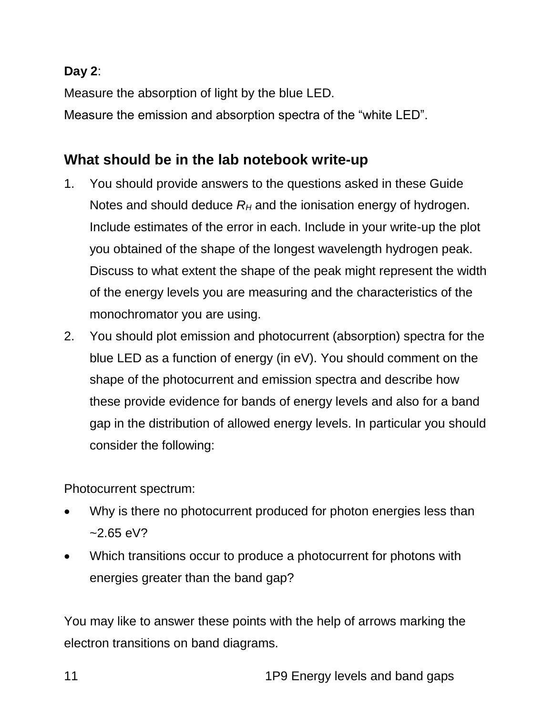#### **Day 2**:

Measure the absorption of light by the blue LED. Measure the emission and absorption spectra of the "white LED".

# **What should be in the lab notebook write-up**

- 1. You should provide answers to the questions asked in these Guide Notes and should deduce  $R_H$  and the ionisation energy of hydrogen. Include estimates of the error in each. Include in your write-up the plot you obtained of the shape of the longest wavelength hydrogen peak. Discuss to what extent the shape of the peak might represent the width of the energy levels you are measuring and the characteristics of the monochromator you are using.
- 2. You should plot emission and photocurrent (absorption) spectra for the blue LED as a function of energy (in eV). You should comment on the shape of the photocurrent and emission spectra and describe how these provide evidence for bands of energy levels and also for a band gap in the distribution of allowed energy levels. In particular you should consider the following:

Photocurrent spectrum:

- Why is there no photocurrent produced for photon energies less than  $-2.65$  eV?
- Which transitions occur to produce a photocurrent for photons with energies greater than the band gap?

You may like to answer these points with the help of arrows marking the electron transitions on band diagrams.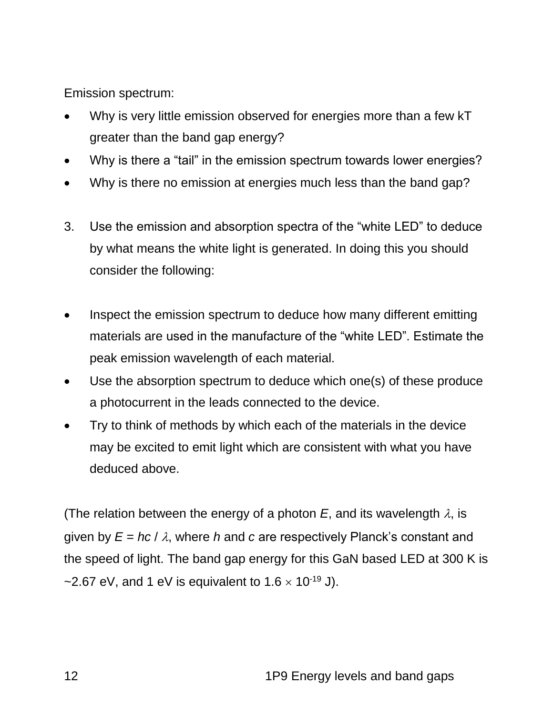Emission spectrum:

- Why is very little emission observed for energies more than a few kT greater than the band gap energy?
- Why is there a "tail" in the emission spectrum towards lower energies?
- Why is there no emission at energies much less than the band gap?
- 3. Use the emission and absorption spectra of the "white LED" to deduce by what means the white light is generated. In doing this you should consider the following:
- Inspect the emission spectrum to deduce how many different emitting materials are used in the manufacture of the "white LED". Estimate the peak emission wavelength of each material.
- Use the absorption spectrum to deduce which one(s) of these produce a photocurrent in the leads connected to the device.
- Try to think of methods by which each of the materials in the device may be excited to emit light which are consistent with what you have deduced above.

(The relation between the energy of a photon  $E$ , and its wavelength  $\lambda$ , is given by  $E = hc / \lambda$ , where *h* and *c* are respectively Planck's constant and the speed of light. The band gap energy for this GaN based LED at 300 K is ~2.67 eV, and 1 eV is equivalent to  $1.6 \times 10^{-19}$  J).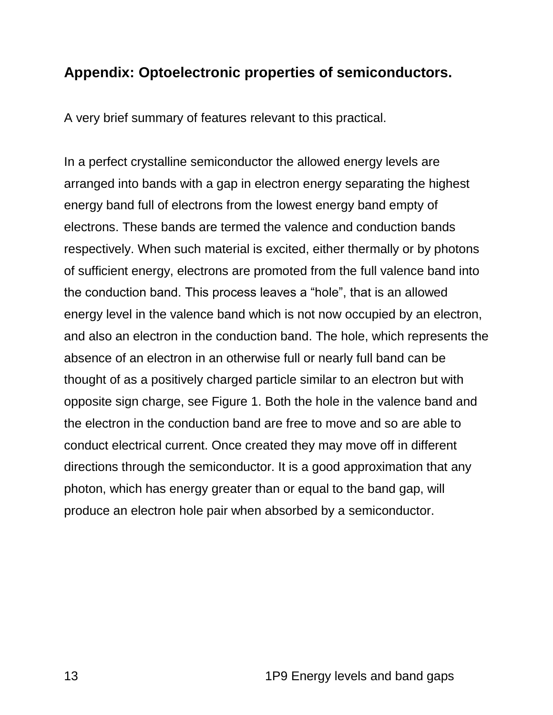#### **Appendix: Optoelectronic properties of semiconductors.**

A very brief summary of features relevant to this practical.

In a perfect crystalline semiconductor the allowed energy levels are arranged into bands with a gap in electron energy separating the highest energy band full of electrons from the lowest energy band empty of electrons. These bands are termed the valence and conduction bands respectively. When such material is excited, either thermally or by photons of sufficient energy, electrons are promoted from the full valence band into the conduction band. This process leaves a "hole", that is an allowed energy level in the valence band which is not now occupied by an electron, and also an electron in the conduction band. The hole, which represents the absence of an electron in an otherwise full or nearly full band can be thought of as a positively charged particle similar to an electron but with opposite sign charge, see Figure 1. Both the hole in the valence band and the electron in the conduction band are free to move and so are able to conduct electrical current. Once created they may move off in different directions through the semiconductor. It is a good approximation that any photon, which has energy greater than or equal to the band gap, will produce an electron hole pair when absorbed by a semiconductor.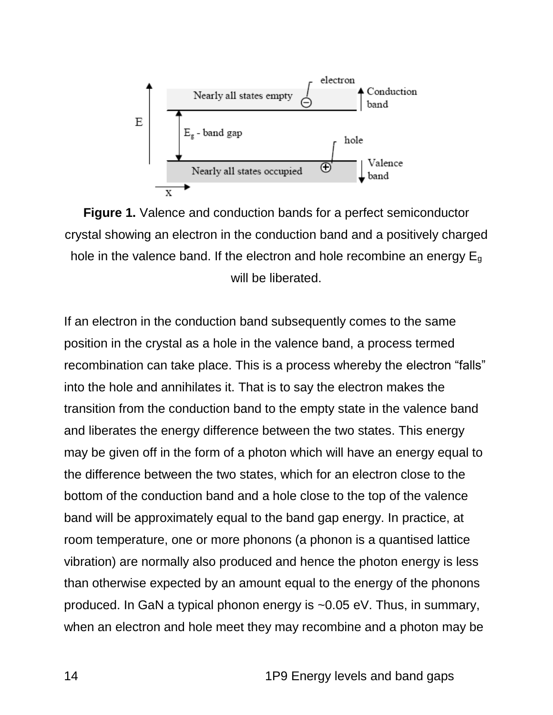

**Figure 1.** Valence and conduction bands for a perfect semiconductor crystal showing an electron in the conduction band and a positively charged hole in the valence band. If the electron and hole recombine an energy  $E_g$ will be liberated.

If an electron in the conduction band subsequently comes to the same position in the crystal as a hole in the valence band, a process termed recombination can take place. This is a process whereby the electron "falls" into the hole and annihilates it. That is to say the electron makes the transition from the conduction band to the empty state in the valence band and liberates the energy difference between the two states. This energy may be given off in the form of a photon which will have an energy equal to the difference between the two states, which for an electron close to the bottom of the conduction band and a hole close to the top of the valence band will be approximately equal to the band gap energy. In practice, at room temperature, one or more phonons (a phonon is a quantised lattice vibration) are normally also produced and hence the photon energy is less than otherwise expected by an amount equal to the energy of the phonons produced. In GaN a typical phonon energy is ~0.05 eV. Thus, in summary, when an electron and hole meet they may recombine and a photon may be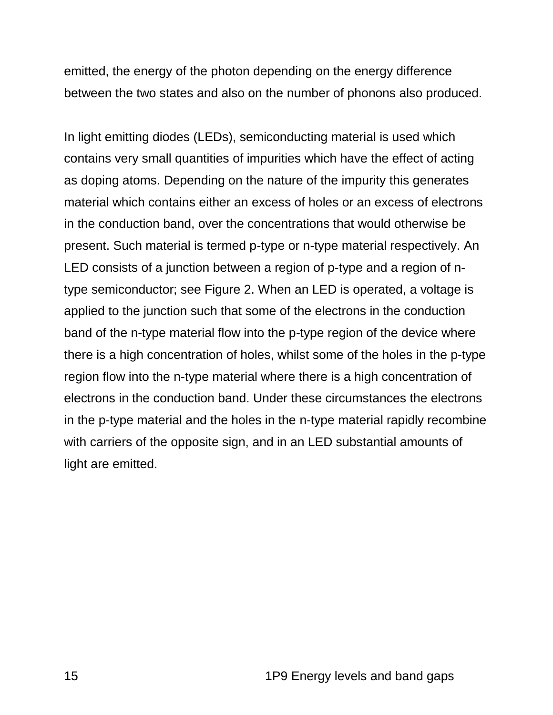emitted, the energy of the photon depending on the energy difference between the two states and also on the number of phonons also produced.

In light emitting diodes (LEDs), semiconducting material is used which contains very small quantities of impurities which have the effect of acting as doping atoms. Depending on the nature of the impurity this generates material which contains either an excess of holes or an excess of electrons in the conduction band, over the concentrations that would otherwise be present. Such material is termed p-type or n-type material respectively. An LED consists of a junction between a region of p-type and a region of ntype semiconductor; see Figure 2. When an LED is operated, a voltage is applied to the junction such that some of the electrons in the conduction band of the n-type material flow into the p-type region of the device where there is a high concentration of holes, whilst some of the holes in the p-type region flow into the n-type material where there is a high concentration of electrons in the conduction band. Under these circumstances the electrons in the p-type material and the holes in the n-type material rapidly recombine with carriers of the opposite sign, and in an LED substantial amounts of light are emitted.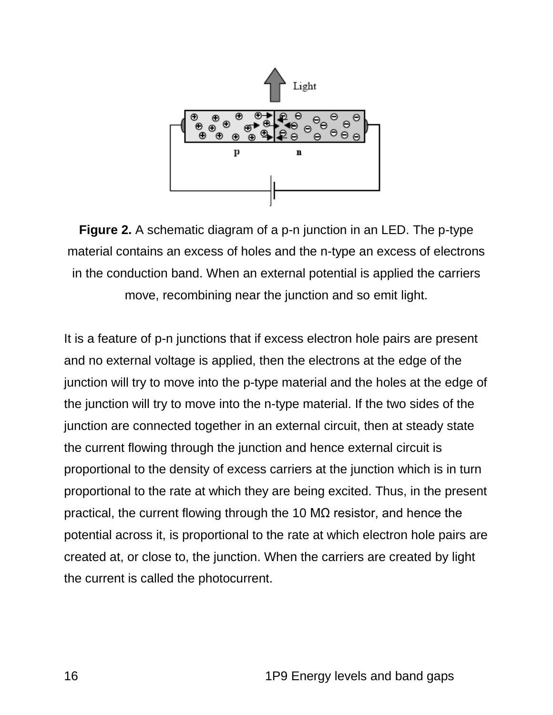

**Figure 2.** A schematic diagram of a p-n junction in an LED. The p-type material contains an excess of holes and the n-type an excess of electrons in the conduction band. When an external potential is applied the carriers move, recombining near the junction and so emit light.

It is a feature of p-n junctions that if excess electron hole pairs are present and no external voltage is applied, then the electrons at the edge of the junction will try to move into the p-type material and the holes at the edge of the junction will try to move into the n-type material. If the two sides of the junction are connected together in an external circuit, then at steady state the current flowing through the junction and hence external circuit is proportional to the density of excess carriers at the junction which is in turn proportional to the rate at which they are being excited. Thus, in the present practical, the current flowing through the 10 MΩ resistor, and hence the potential across it, is proportional to the rate at which electron hole pairs are created at, or close to, the junction. When the carriers are created by light the current is called the photocurrent.